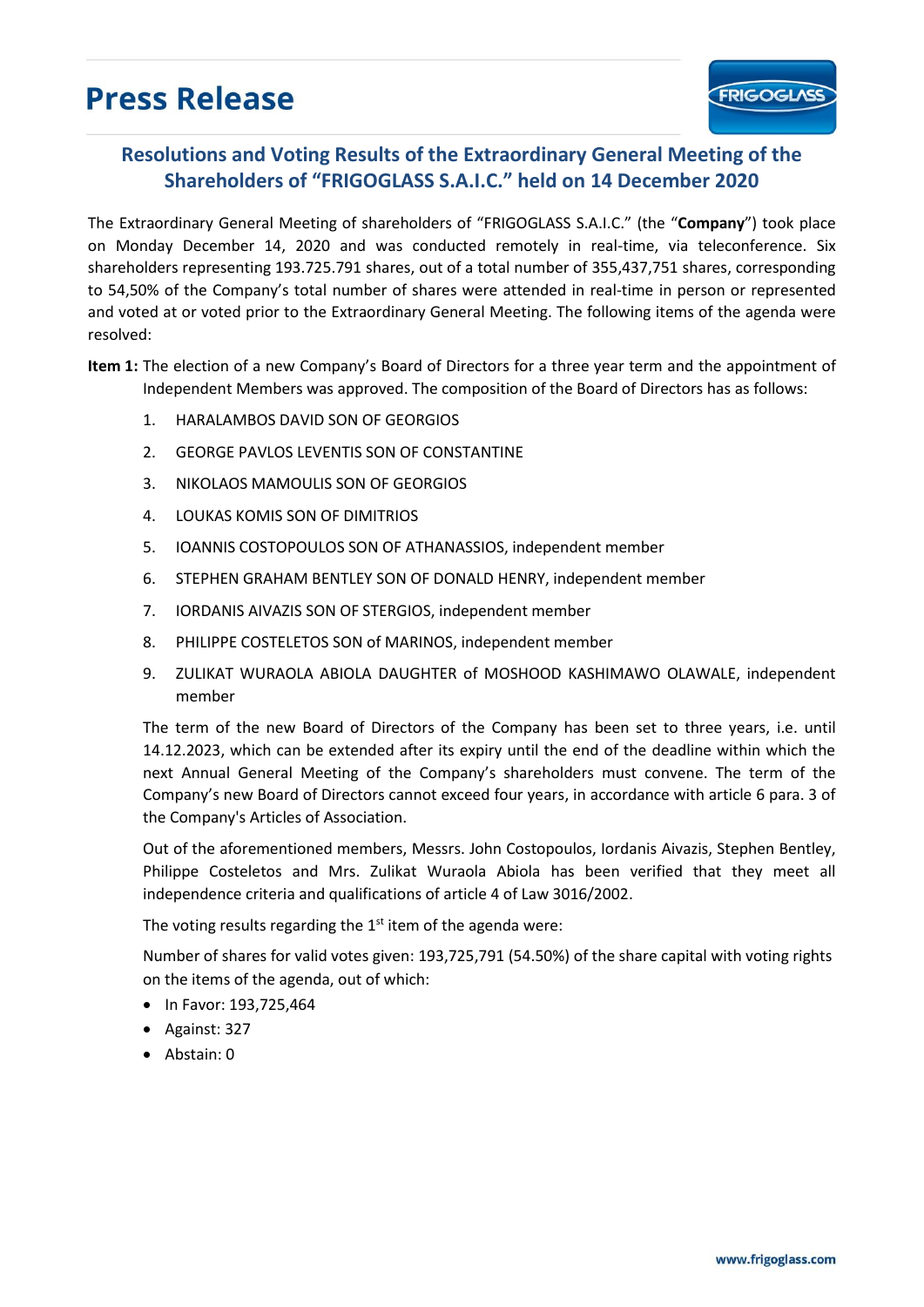## **Press Release**

## **Resolutions and Voting Results of the Extraordinary General Meeting of the Shareholders of "FRIGOGLASS S.A.I.C." held on 14 December 2020**

The Extraordinary General Meeting of shareholders of "FRIGOGLASS S.A.I.C." (the "**Company**") took place on Monday December 14, 2020 and was conducted remotely in real-time, via teleconference. Six shareholders representing 193.725.791 shares, out of a total number of 355,437,751 shares, corresponding to 54,50% of the Company's total number of shares were attended in real-time in person or represented and voted at or voted prior to the Extraordinary General Meeting. The following items of the agenda were resolved:

**Item 1:** The election of a new Company's Board of Directors for a three year term and the appointment of Independent Members was approved. The composition of the Board of Directors has as follows:

- 1. HARALAMBOS DAVID SON OF GEORGIOS
- 2. GEORGE PAVLOS LEVENTIS SON OF CONSTANTINE
- 3. ΝΙΚΟLΑΟS MAMOULIS SON OF GEORGIOS
- 4. LOUKAS KOMIS SON OF DIMITRIOS
- 5. IOANNIS COSTOPOULOS SON OF ATHANASSIOS, independent member
- 6. STEPHEN GRAHAM BENTLEY SON OF DONALD HENRY, independent member
- 7. IORDANIS AIVAZIS SON OF STERGIOS, independent member
- 8. PHILIPPE COSTELETOS SON of MARINOS, independent member
- 9. ZULIKAT WURAOLA ABIOLA DAUGHTER of MOSHOOD KASHIMAWO OLAWALE, independent member

The term of the new Board of Directors of the Company has been set to three years, i.e. until 14.12.2023, which can be extended after its expiry until the end of the deadline within which the next Annual General Meeting of the Company's shareholders must convene. The term of the Company's new Board of Directors cannot exceed four years, in accordance with article 6 para. 3 of the Company's Articles of Association.

Out of the aforementioned members, Messrs. John Costopoulos, Iordanis Aivazis, Stephen Bentley, Philippe Costeletos and Mrs. Zulikat Wuraola Abiola has been verified that they meet all independence criteria and qualifications of article 4 of Law 3016/2002.

The voting results regarding the  $1<sup>st</sup>$  item of the agenda were:

Number of shares for valid votes given: 193,725,791 (54.50%) of the share capital with voting rights on the items of the agenda, out of which:

- In Favor: 193,725,464
- Against: 327
- Abstain: 0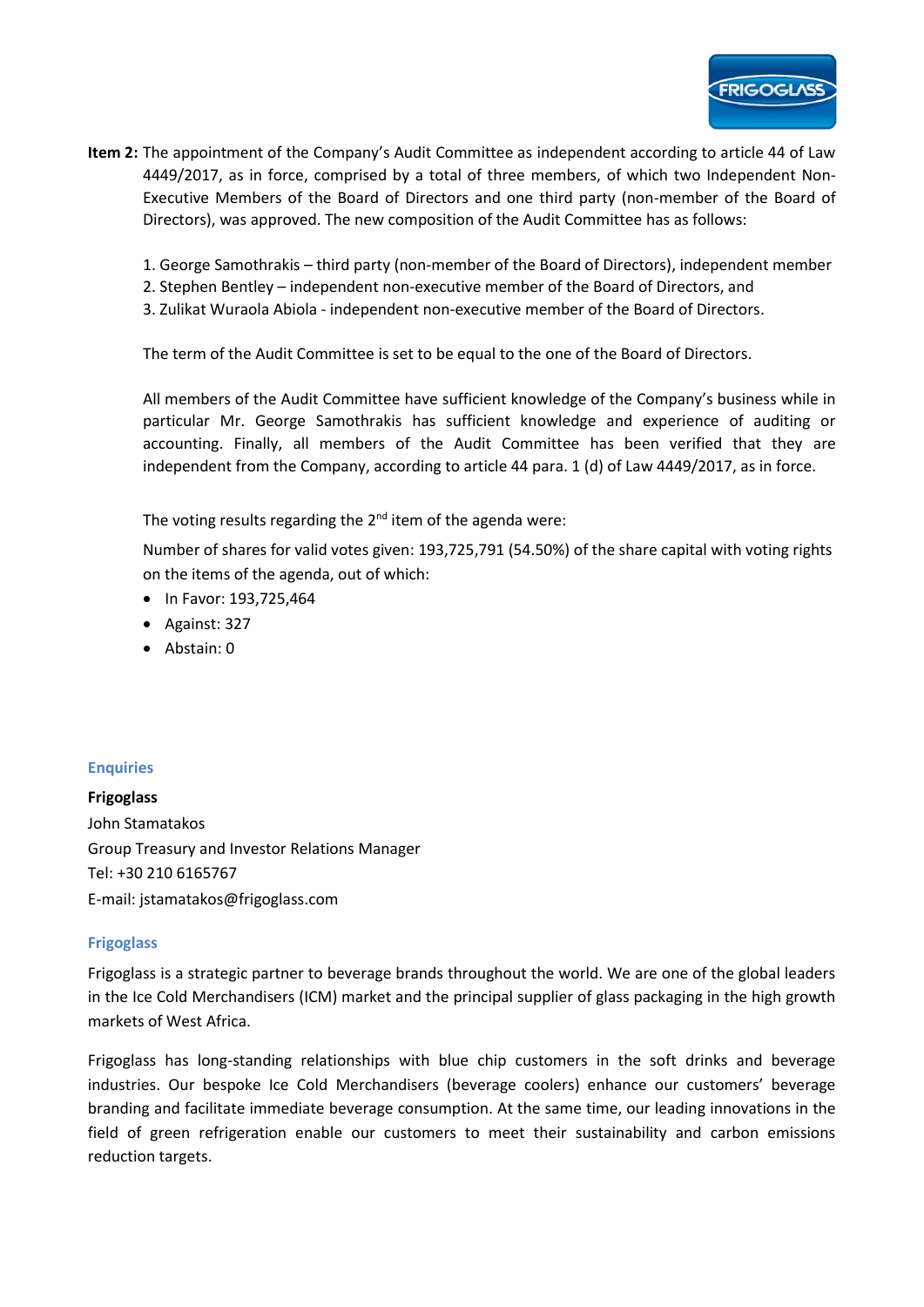- **Item 2:** The appointment of the Company's Audit Committee as independent according to article 44 of Law 4449/2017, as in force, comprised by a total of three members, of which two Independent Non-Executive Members of the Board of Directors and one third party (non-member of the Board of Directors), was approved. The new composition of the Audit Committee has as follows:
	- 1. George Samothrakis third party (non-member of the Board of Directors), independent member
	- 2. Stephen Bentley independent non-executive member of the Board of Directors, and
	- 3. Zulikat Wuraola Abiola independent non-executive member of the Board of Directors.

The term of the Audit Committee is set to be equal to the one of the Board of Directors.

All members of the Audit Committee have sufficient knowledge of the Company's business while in particular Mr. George Samothrakis has sufficient knowledge and experience of auditing or accounting. Finally, all members of the Audit Committee has been verified that they are independent from the Company, according to article 44 para. 1 (d) of Law 4449/2017, as in force.

The voting results regarding the 2<sup>nd</sup> item of the agenda were:

Number of shares for valid votes given: 193,725,791 (54.50%) of the share capital with voting rights on the items of the agenda, out of which:

- In Favor: 193,725,464
- Against: 327
- Abstain: 0

## **Enquiries**

**Frigoglass**  John Stamatakos Group Treasury and Investor Relations Manager Tel: +30 210 6165767 E-mail: jstamatakos@frigoglass.com

## **Frigoglass**

Frigoglass is a strategic partner to beverage brands throughout the world. We are one of the global leaders in the Ice Cold Merchandisers (ICM) market and the principal supplier of glass packaging in the high growth markets of West Africa.

Frigoglass has long-standing relationships with blue chip customers in the soft drinks and beverage industries. Our bespoke Ice Cold Merchandisers (beverage coolers) enhance our customers' beverage branding and facilitate immediate beverage consumption. At the same time, our leading innovations in the field of green refrigeration enable our customers to meet their sustainability and carbon emissions reduction targets.